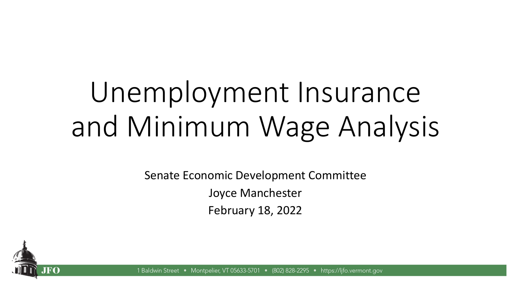# Unemployment Insurance and Minimum Wage Analysis

Senate Economic Development Committee Joyce Manchester February 18, 2022



1 Baldwin Street Montpelier, VT 05633-5701 • (802) 828-2295 • https://ljfo.vermont.gov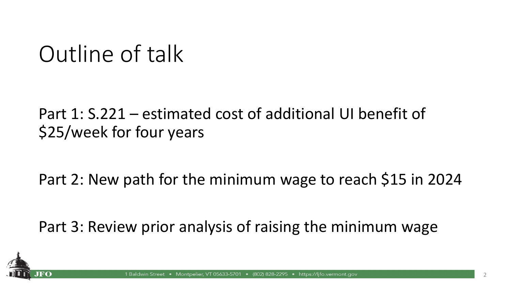### Outline of talk

#### Part 1: S.221 – estimated cost of additional UI benefit of \$25/week for four years

Part 2: New path for the minimum wage to reach \$15 in 2024

Part 3: Review prior analysis of raising the minimum wage

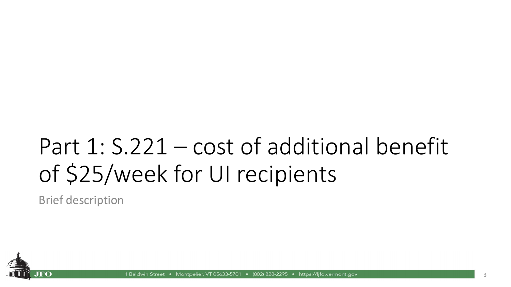### Part 1: S.221 – cost of additional benefit of \$25/week for UI recipients

Brief description



Montpelier, VT 05633-5701 • (802) 828-2295 • https://lifo.vermont.gov 1 Baldwin Street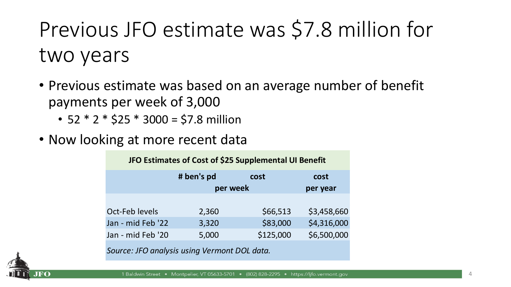Previous JFO estimate was \$7.8 million for two years

- Previous estimate was based on an average number of benefit payments per week of 3,000
	- 52  $*$  2  $*$  \$25  $*$  3000 = \$7.8 million
- Now looking at more recent data

| JFO Estimates of Cost of \$25 Supplemental UI Benefit |            |           |             |  |  |  |
|-------------------------------------------------------|------------|-----------|-------------|--|--|--|
|                                                       | # ben's pd | cost      | cost        |  |  |  |
|                                                       |            | per week  | per year    |  |  |  |
|                                                       |            |           |             |  |  |  |
| Oct-Feb levels                                        | 2,360      | \$66,513  | \$3,458,660 |  |  |  |
| Jan - mid Feb '22                                     | 3,320      | \$83,000  | \$4,316,000 |  |  |  |
| Jan - mid Feb '20                                     | 5,000      | \$125,000 | \$6,500,000 |  |  |  |
|                                                       |            |           |             |  |  |  |

*Source: JFO analysis using Vermont DOL data.*

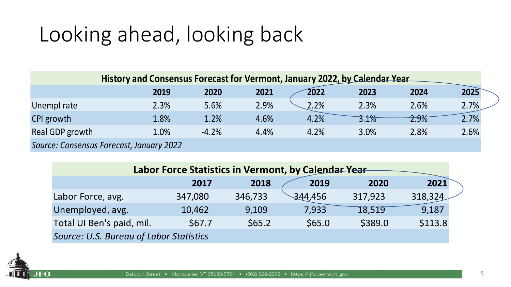### Looking ahead, looking back

| History and Consensus Forecast for Vermont, January 2022, by Calendar Year |      |         |      |      |      |      |      |
|----------------------------------------------------------------------------|------|---------|------|------|------|------|------|
|                                                                            | 2019 | 2020    | 2021 | 2022 | 2023 | 2024 | 2025 |
| Unempl rate                                                                | 2.3% | 5.6%    | 2.9% | 2.2% | 2.3% | 2.6% | 2.7% |
| CPI growth                                                                 | 1.8% | 1.2%    | 4.6% | 4.2% | 3.1% | 2.9% | 2.7% |
| Real GDP growth                                                            | 1.0% | $-4.2%$ | 4.4% | 4.2% | 3.0% | 2.8% | 2.6% |
| Source: Consensus Forecast, January 2022                                   |      |         |      |      |      |      |      |

| Labor Force Statistics in Vermont, by Calendar Year |         |         |         |         |         |  |  |
|-----------------------------------------------------|---------|---------|---------|---------|---------|--|--|
|                                                     | 2017    | 2018    | 2019    | 2020    | 2021    |  |  |
| Labor Force, avg.                                   | 347,080 | 346,733 | 344,456 | 317,923 | 318,324 |  |  |
| Unemployed, avg.                                    | 10,462  | 9,109   | 7,933   | 18,519  | 9,187   |  |  |
| Total UI Ben's paid, mil.                           | \$67.7  | \$65.2  | \$65.0  | \$389.0 | \$113.8 |  |  |
| Source: U.S. Bureau of Labor Statistics             |         |         |         |         |         |  |  |

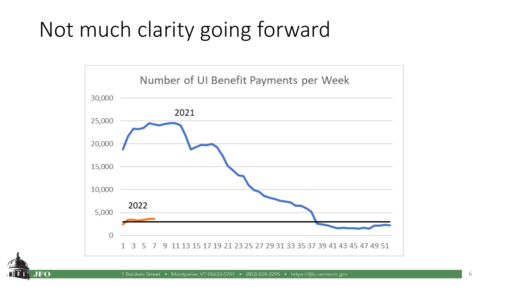#### Not much clarity going forward



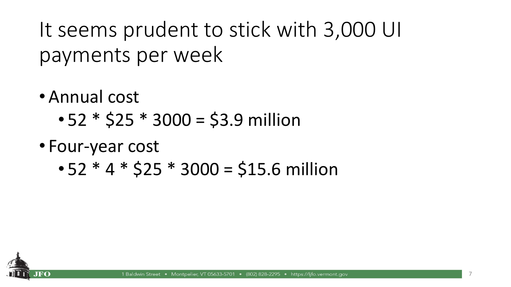It seems prudent to stick with 3,000 UI payments per week

- Annual cost
	- $52 * $25 * 3000 = $3.9$  million
- Four-year cost
	- $\cdot$  52  $*$  4  $*$  \$25  $*$  3000 = \$15.6 million

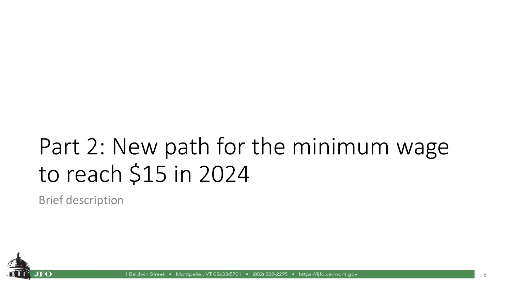### Part 2: New path for the minimum wage to reach \$15 in 2024

Brief description



Montpelier, VT 05633-5701 • (802) 828-2295 • https://lifo.vermont.gov 1 Baldwin Street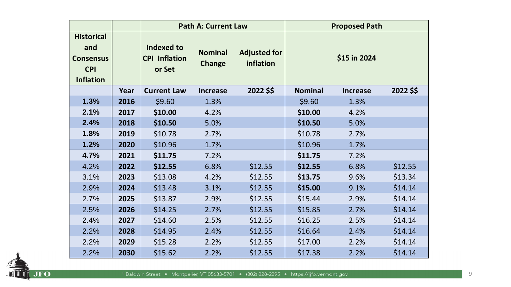|                                                                                |      | <b>Path A: Current Law</b>                          |                          | <b>Proposed Path</b>             |                |                 |           |
|--------------------------------------------------------------------------------|------|-----------------------------------------------------|--------------------------|----------------------------------|----------------|-----------------|-----------|
| <b>Historical</b><br>and<br><b>Consensus</b><br><b>CPI</b><br><b>Inflation</b> |      | <b>Indexed to</b><br><b>CPI Inflation</b><br>or Set | <b>Nominal</b><br>Change | <b>Adjusted for</b><br>inflation |                | \$15 in 2024    |           |
|                                                                                | Year | <b>Current Law</b>                                  | <b>Increase</b>          | 2022 \$\$                        | <b>Nominal</b> | <b>Increase</b> | 2022 \$\$ |
| 1.3%                                                                           | 2016 | \$9.60                                              | 1.3%                     |                                  | \$9.60         | 1.3%            |           |
| 2.1%                                                                           | 2017 | \$10.00                                             | 4.2%                     |                                  | \$10.00        | 4.2%            |           |
| 2.4%                                                                           | 2018 | \$10.50                                             | 5.0%                     |                                  | \$10.50        | 5.0%            |           |
| 1.8%                                                                           | 2019 | \$10.78                                             | 2.7%                     |                                  | \$10.78        | 2.7%            |           |
| 1.2%                                                                           | 2020 | \$10.96                                             | 1.7%                     |                                  | \$10.96        | 1.7%            |           |
| 4.7%                                                                           | 2021 | \$11.75                                             | 7.2%                     |                                  | \$11.75        | 7.2%            |           |
| 4.2%                                                                           | 2022 | \$12.55                                             | 6.8%                     | \$12.55                          | \$12.55        | 6.8%            | \$12.55   |
| 3.1%                                                                           | 2023 | \$13.08                                             | 4.2%                     | \$12.55                          | \$13.75        | 9.6%            | \$13.34   |
| 2.9%                                                                           | 2024 | \$13.48                                             | 3.1%                     | \$12.55                          | \$15.00        | 9.1%            | \$14.14   |
| 2.7%                                                                           | 2025 | \$13.87                                             | 2.9%                     | \$12.55                          | \$15.44        | 2.9%            | \$14.14   |
| 2.5%                                                                           | 2026 | \$14.25                                             | 2.7%                     | \$12.55                          | \$15.85        | 2.7%            | \$14.14   |
| 2.4%                                                                           | 2027 | \$14.60                                             | 2.5%                     | \$12.55                          | \$16.25        | 2.5%            | \$14.14   |
| 2.2%                                                                           | 2028 | \$14.95                                             | 2.4%                     | \$12.55                          | \$16.64        | 2.4%            | \$14.14   |
| 2.2%                                                                           | 2029 | \$15.28                                             | 2.2%                     | \$12.55                          | \$17.00        | 2.2%            | \$14.14   |
| 2.2%                                                                           | 2030 | \$15.62                                             | 2.2%                     | \$12.55                          | \$17.38        | 2.2%            | \$14.14   |

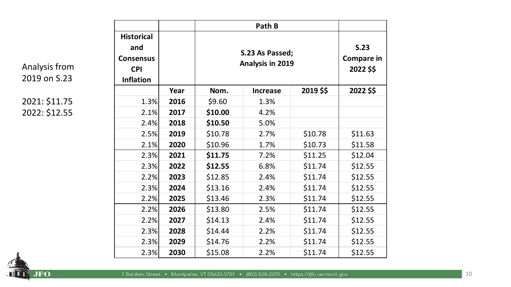**Analysis from** 2019 on S.23

2021: \$11.75 2022: \$12.55

| <b>Historical</b><br>and<br><b>Consensus</b><br><b>CPI</b><br><b>Inflation</b> |      | S.23 As Passed;<br>Analysis in 2019 | S.23<br><b>Compare in</b><br>2022 \$\$ |           |           |
|--------------------------------------------------------------------------------|------|-------------------------------------|----------------------------------------|-----------|-----------|
|                                                                                | Year | Nom.                                | <b>Increase</b>                        | 2019 \$\$ | 2022 \$\$ |
| 1.3%                                                                           | 2016 | \$9.60                              | 1.3%                                   |           |           |
| 2.1%                                                                           | 2017 | \$10.00                             | 4.2%                                   |           |           |
| 2.4%                                                                           | 2018 | \$10.50                             | 5.0%                                   |           |           |
| 2.5%                                                                           | 2019 | \$10.78                             | 2.7%                                   | \$10.78   | \$11.63   |
| 2.1%                                                                           | 2020 | \$10.96                             | 1.7%                                   | \$10.73   | \$11.58   |
| 2.3%                                                                           | 2021 | \$11.75                             | 7.2%                                   | \$11.25   | \$12.04   |
| 2.3%                                                                           | 2022 | \$12.55                             | 6.8%                                   | \$11.74   | \$12.55   |
| 2.2%                                                                           | 2023 | \$12.85                             | 2.4%                                   | \$11.74   | \$12.55   |
| 2.3%                                                                           | 2024 | \$13.16                             | 2.4%                                   | \$11.74   | \$12.55   |
| 2.2%                                                                           | 2025 | \$13.46                             | 2.3%                                   | \$11.74   | \$12.55   |
| 2.2%                                                                           | 2026 | \$13.80                             | 2.5%                                   | \$11.74   | \$12.55   |
| 2.2%                                                                           | 2027 | \$14.13                             | 2.4%                                   | \$11.74   | \$12.55   |
| 2.3%                                                                           | 2028 | \$14.44                             | 2.2%                                   | \$11.74   | \$12.55   |
| 2.3%                                                                           | 2029 | \$14.76                             | 2.2%                                   | \$11.74   | \$12.55   |
| 2.3%                                                                           | 2030 | \$15.08                             | 2.2%                                   | \$11.74   | \$12.55   |

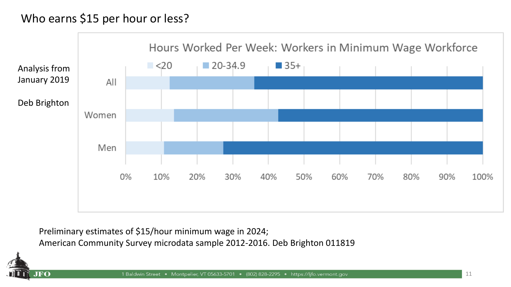#### Who earns \$15 per hour or less?



Preliminary estimates of \$15/hour minimum wage in 2024; American Community Survey microdata sample 2012-2016. Deb Brighton 011819

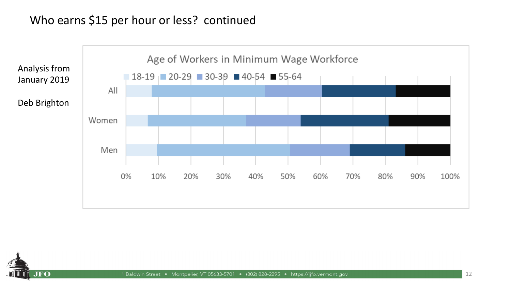#### Who earns \$15 per hour or less? continued



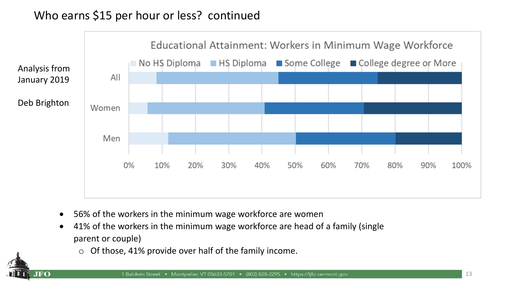#### Who earns \$15 per hour or less? continued



- 56% of the workers in the minimum wage workforce are women
- 41% of the workers in the minimum wage workforce are head of a family (single parent or couple)
	- $\circ$  Of those, 41% provide over half of the family income.

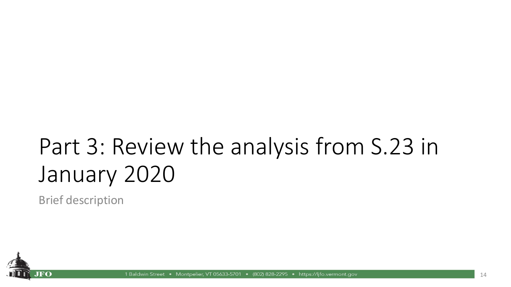## Part 3: Review the analysis from S.23 in January 2020

Brief description



• Montpelier, VT 05633-5701 • (802) 828-2295 • https://lifo.vermont.gov 1 Baldwin Street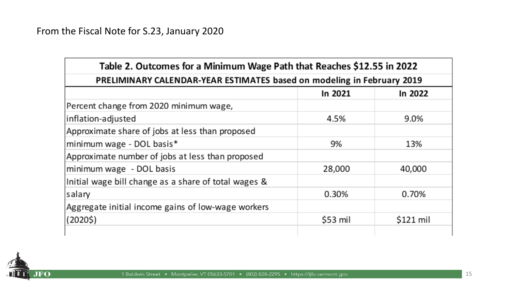| Table 2. Outcomes for a Minimum Wage Path that Reaches \$12.55 in 2022 |           |            |  |  |  |  |
|------------------------------------------------------------------------|-----------|------------|--|--|--|--|
| PRELIMINARY CALENDAR-YEAR ESTIMATES based on modeling in February 2019 |           |            |  |  |  |  |
| In 2021<br>In 2022                                                     |           |            |  |  |  |  |
| Percent change from 2020 minimum wage,                                 |           |            |  |  |  |  |
| inflation-adjusted                                                     | 4.5%      | 9.0%       |  |  |  |  |
| Approximate share of jobs at less than proposed                        |           |            |  |  |  |  |
| minimum wage - DOL basis*                                              | 9%        | 13%        |  |  |  |  |
| Approximate number of jobs at less than proposed                       |           |            |  |  |  |  |
| minimum wage - DOL basis                                               | 28,000    | 40,000     |  |  |  |  |
| Initial wage bill change as a share of total wages &                   |           |            |  |  |  |  |
| salary                                                                 | 0.30%     | 0.70%      |  |  |  |  |
| Aggregate initial income gains of low-wage workers                     |           |            |  |  |  |  |
| (20205)                                                                | $$53$ mil | $$121$ mil |  |  |  |  |